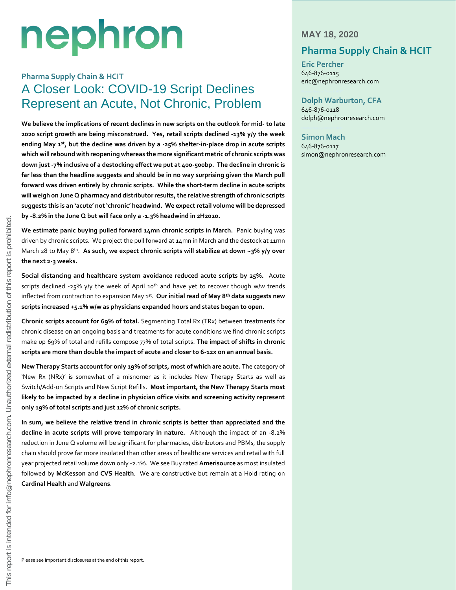# nephron

# **Pharma Supply Chain & HCIT** A Closer Look: COVID-19 Script Declines Represent an Acute, Not Chronic, Problem

**We believe the implications of recent declines in new scripts on the outlook for mid- to late 2020 script growth are being misconstrued. Yes, retail scripts declined -13% y/y the week ending May 1st , but the decline was driven by a -25% shelter-in-place drop in acute scripts which will rebound with reopening whereas the more significant metric of chronic scripts was down just -7% inclusive of a destocking effect we put at 400-500bp. The decline in chronic is far less than the headline suggests and should be in no way surprising given the March pull forward was driven entirely by chronic scripts. While the short-term decline in acute scripts will weigh on June Q pharmacy and distributor results, the relative strength of chronic scripts suggests this is an 'acute' not 'chronic' headwind. We expect retail volume will be depressed by -8.2% in the June Q but will face only a -1.3% headwind in 2H2020.** 

**We estimate panic buying pulled forward 14mn chronic scripts in March.** Panic buying was driven by chronic scripts. We project the pull forward at 14mn in March and the destock at 11mn March 28 to May 8<sup>th</sup>. **As such, we expect chronic scripts will stabilize at down ~3% y/y over the next 2-3 weeks.**

**Social distancing and healthcare system avoidance reduced acute scripts by 25%.** Acute scripts declined -25% y/y the week of April 10<sup>th</sup> and have yet to recover though w/w trends inflected from contraction to expansion May 1st . **Our initial read of May 8th data suggests new scripts increased +5.1% w/w as physicians expanded hours and states began to open.**

**Chronic scripts account for 69% of total.** Segmenting Total Rx (TRx) between treatments for chronic disease on an ongoing basis and treatments for acute conditions we find chronic scripts make up 69% of total and refills compose 77% of total scripts. **The impact of shifts in chronic scripts are more than double the impact of acute and closer to 6-12x on an annual basis.**

**New Therapy Starts account for only 19% of scripts, most of which are acute.** The category of 'New Rx (NRx)' is somewhat of a misnomer as it includes New Therapy Starts as well as Switch/Add-on Scripts and New Script Refills. **Most important, the New Therapy Starts most likely to be impacted by a decline in physician office visits and screening activity represent only 19% of total scripts and just 12% of chronic scripts.**

**In sum, we believe the relative trend in chronic scripts is better than appreciated and the decline in acute scripts will prove temporary in nature.** Although the impact of an -8.2% reduction in June Q volume will be significant for pharmacies, distributors and PBMs, the supply chain should prove far more insulated than other areas of healthcare services and retail with full year projected retail volume down only -2.1%. We see Buy rated **Amerisource** as most insulated followed by **McKesson** and **CVS Health**. We are constructive but remain at a Hold rating on **Cardinal Health** and **Walgreens**.

## **MAY 18, 2020**

# **Pharma Supply Chain & HCIT**

**Eric Percher** 646-876-0115 eric@nephronresearch.com

# **Dolph Warburton, CFA**

646-876-0118 dolph@nephronresearch.com

## **Simon Mach**

646-876-0117 simon@nephronresearch.com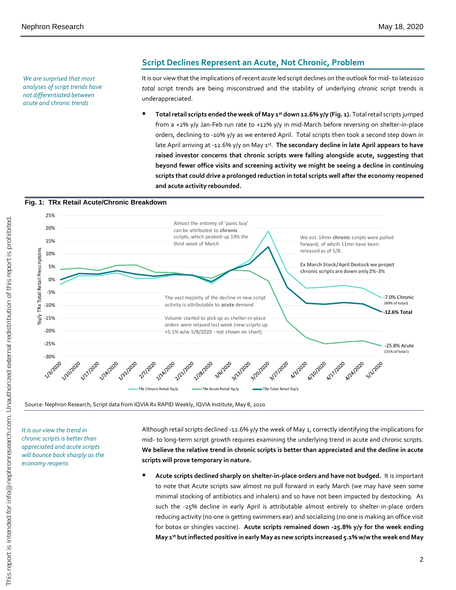*We are surprised that most analyses of script trends have not differentiated between acute and chronic trends* 

## **Script Declines Represent an Acute, Not Chronic, Problem**

It is our view that the implications of recent *acute* led script declines on the outlook for mid- to late2020 *total* script trends are being misconstrued and the stability of underlying *chronic* script trends is underappreciated.

■ Total retail scripts ended the week of May 1<sup>st</sup> down 12.6% y/y (Fig. 1). Total retail scripts jumped from a +2% y/y Jan-Feb run rate to +12% y/y in mid-March before reversing on shelter-in-place orders, declining to -10% y/y as we entered April. Total scripts then took a second step down in late April arriving at -12.6% y/y on May 1st. The secondary decline in late April appears to have **raised investor concerns that chronic scripts were falling alongside acute, suggesting that beyond fewer office visits and screening activity we might be seeing a decline in continuing scripts that could drive a prolonged reduction in total scripts well after the economy reopened and acute activity rebounded.** 



*It is our view the trend in chronic scripts is better than appreciated and acute scripts will bounce back sharply as the economy reopens*

Although retail scripts declined -12.6% y/y the week of May 1, correctly identifying the implications for mid- to long-term script growth requires examining the underlying trend in acute and chronic scripts. **We believe the relative trend in chronic scripts is better than appreciated and the decline in acute scripts will prove temporary in nature.**

**E** Acute scripts declined sharply on shelter-in-place orders and have not budged. It is important to note that Acute scripts saw almost no pull forward in early March (we may have seen some minimal stocking of antibiotics and inhalers) and so have not been impacted by destocking. As such the -25% decline in early April is attributable almost entirely to shelter-in-place orders reducing activity (no one is getting swimmers ear) and socializing (no one is making an office visit for botox or shingles vaccine). **Acute scripts remained down -25.8% y/y for the week ending May 1st but inflected positive in early May as new scripts increased 5.1% w/w the week end May**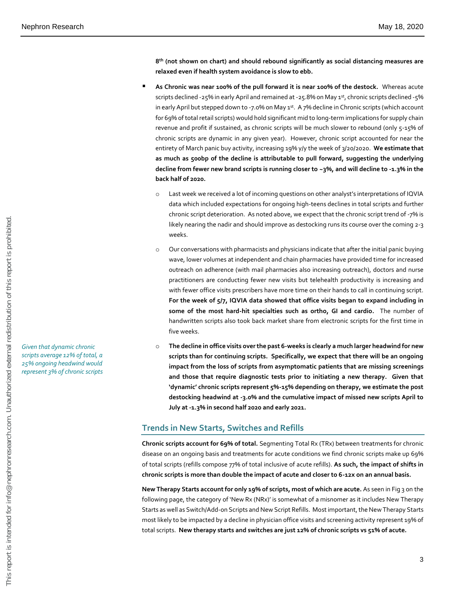**8 th (not shown on chart) and should rebound significantly as social distancing measures are relaxed even if health system avoidance is slow to ebb.**

- As Chronic was near 100% of the pull forward it is near 100% of the destock. Whereas acute scripts declined -25% in early April and remained at -25.8% on May 1st, chronic scripts declined -5% in early April but stepped down to -7.0% on May  $1^{st}$ . A 7% decline in Chronic scripts (which account for 69% of total retail scripts) would hold significant mid to long-term implications for supply chain revenue and profit if sustained, as chronic scripts will be much slower to rebound (only 5-15% of chronic scripts are dynamic in any given year). However, chronic script accounted for near the entirety of March panic buy activity, increasing 19% y/y the week of 3/20/2020. **We estimate that as much as 500bp of the decline is attributable to pull forward, suggesting the underlying decline from fewer new brand scripts is running closer to ~3%, and will decline to -1.3% in the back half of 2020.**
	- o Last week we received a lot of incoming questions on other analyst's interpretations of IQVIA data which included expectations for ongoing high-teens declines in total scripts and further chronic script deterioration. As noted above, we expect that the chronic script trend of -7% is likely nearing the nadir and should improve as destocking runs its course over the coming 2-3 weeks.
	- o Our conversations with pharmacists and physicians indicate that after the initial panic buying wave, lower volumes at independent and chain pharmacies have provided time for increased outreach on adherence (with mail pharmacies also increasing outreach), doctors and nurse practitioners are conducting fewer new visits but telehealth productivity is increasing and with fewer office visits prescribers have more time on their hands to call in continuing script. **For the week of 5/7, IQVIA data showed that office visits began to expand including in some of the most hard-hit specialties such as ortho, GI and cardio.** The number of handwritten scripts also took back market share from electronic scripts for the first time in five weeks.
	- o **The decline in office visits over the past 6-weeks is clearly a much larger headwind for new scripts than for continuing scripts. Specifically, we expect that there will be an ongoing impact from the loss of scripts from asymptomatic patients that are missing screenings and those that require diagnostic tests prior to initiating a new therapy. Given that 'dynamic' chronic scripts represent 5%-15% depending on therapy, we estimate the post destocking headwind at -3.0% and the cumulative impact of missed new scripts April to July at -1.3% in second half 2020 and early 2021.**

#### **Trends in New Starts, Switches and Refills**

**Chronic scripts account for 69% of total.** Segmenting Total Rx (TRx) between treatments for chronic disease on an ongoing basis and treatments for acute conditions we find chronic scripts make up 69% of total scripts (refills compose 77% of total inclusive of acute refills). **As such, the impact of shifts in chronic scripts is more than double the impact of acute and closer to 6-12x on an annual basis.**

**New Therapy Starts account for only 19% of scripts, most of which are acute.** As seen in Fig 3 on the following page, the category of 'New Rx (NRx)' is somewhat of a misnomer as it includes New Therapy Starts as well as Switch/Add-on Scripts and New Script Refills. Most important, the New Therapy Starts most likely to be impacted by a decline in physician office visits and screening activity represent 19% of total scripts. **New therapy starts and switches are just 12% of chronic scripts vs 51% of acute.**

*Given that dynamic chronic scripts average 12% of total, a 25% ongoing headwind would represent 3% of chronic scripts*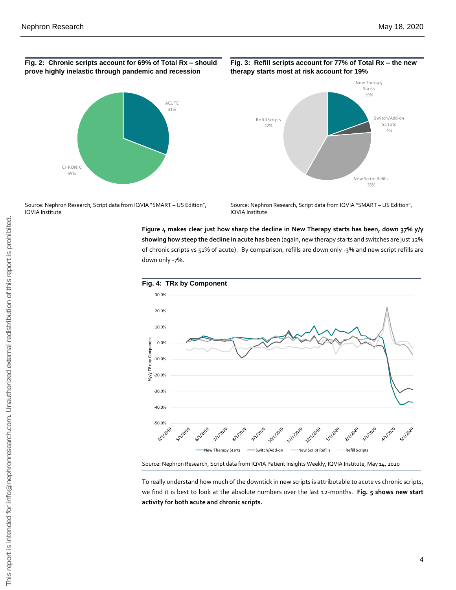#### **Fig. 2: Chronic scripts account for 69% of Total Rx – should prove highly inelastic through pandemic and recession**



#### Source: Nephron Research, Script data from IQVIA "SMART – US Edition", IQVIA Institute

Source: Nephron Research, Script data from IQVIA "SMART – US Edition", IQVIA Institute

**Figure 4 makes clear just how sharp the decline in New Therapy starts has been, down 37% y/y showing how steep the decline in acute has been** (again, new therapy starts and switches are just 12% of chronic scripts vs 51% of acute). By comparison, refills are down only -3% and new script refills are down only -7%.





Source: Nephron Research, Script data from IQVIA Patient Insights Weekly, IQVIA Institute, May 14, 2020

To really understand how much of the downtick in new scripts is attributable to acute vs chronic scripts, we find it is best to look at the absolute numbers over the last 12-months. **Fig. 5 shows new start activity for both acute and chronic scripts.**

**Fig. 3: Refill scripts account for 77% of Total Rx – the new therapy starts most at risk account for 19%** 

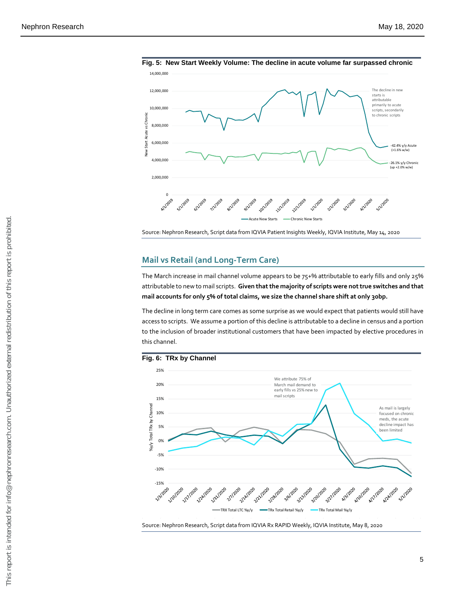

**Fig. 5: New Start Weekly Volume: The decline in acute volume far surpassed chronic**

Source: Nephron Research, Script data from IQVIA Patient Insights Weekly, IQVIA Institute, May 14, 2020

## **Mail vs Retail (and Long-Term Care)**

The March increase in mail channel volume appears to be 75+% attributable to early fills and only 25% attributable to new to mail scripts. **Given that the majority of scripts were not true switches and that mail accounts for only 5% of total claims, we size the channel share shift at only 30bp.** 

The decline in long term care comes as some surprise as we would expect that patients would still have access to scripts. We assume a portion of this decline is attributable to a decline in census and a portion to the inclusion of broader institutional customers that have been impacted by elective procedures in this channel.

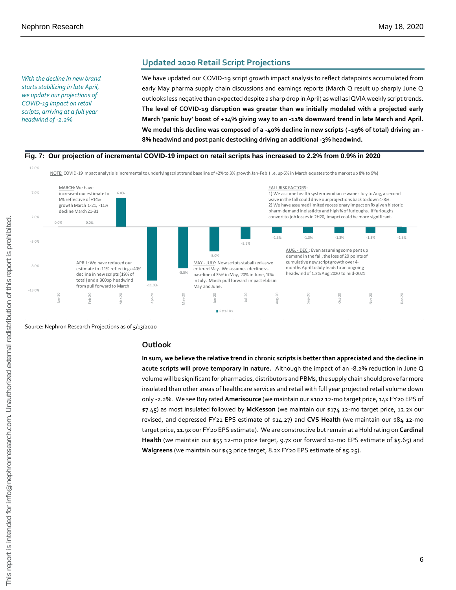**Updated 2020 Retail Script Projections** 

*With the decline in new brand starts stabilizing in late April, we update our projections of COVID-19 impact on retail scripts, arriving at a full year headwind of -2.2%*

We have updated our COVID-19 script growth impact analysis to reflect datapoints accumulated from early May pharma supply chain discussions and earnings reports (March Q result up sharply June Q outlooks less negative than expected despite a sharp drop in April) as well as IQVIA weekly script trends. **The level of COVID-19 disruption was greater than we initially modeled with a projected early March 'panic buy' boost of +14% giving way to an -11% downward trend in late March and April. We model this decline was composed of a -40% decline in new scripts (~19% of total) driving an - 8% headwind and post panic destocking driving an additional -3% headwind.**



Source: Nephron Research Projections as of 5/13/2020

#### **Outlook**

**In sum, we believe the relative trend in chronic scripts is better than appreciated and the decline in acute scripts will prove temporary in nature.** Although the impact of an -8.2% reduction in June Q volume will be significant for pharmacies, distributors and PBMs, the supply chain should prove far more insulated than other areas of healthcare services and retail with full year projected retail volume down only -2.2%. We see Buy rated **Amerisource** (we maintain our \$102 12-mo target price, 14x FY20 EPS of \$7.45) as most insulated followed by **McKesson** (we maintain our \$174 12-mo target price, 12.2x our revised, and depressed FY21 EPS estimate of \$14.27) and **CVS Health** (we maintain our \$84 12-mo target price, 11.9x our FY20 EPS estimate). We are constructive but remain at a Hold rating on **Cardinal Health** (we maintain our \$55 12-mo price target, 9.7x our forward 12-mo EPS estimate of \$5.65) and **Walgreens** (we maintain our \$43 price target, 8.2x FY20 EPS estimate of \$5.25).